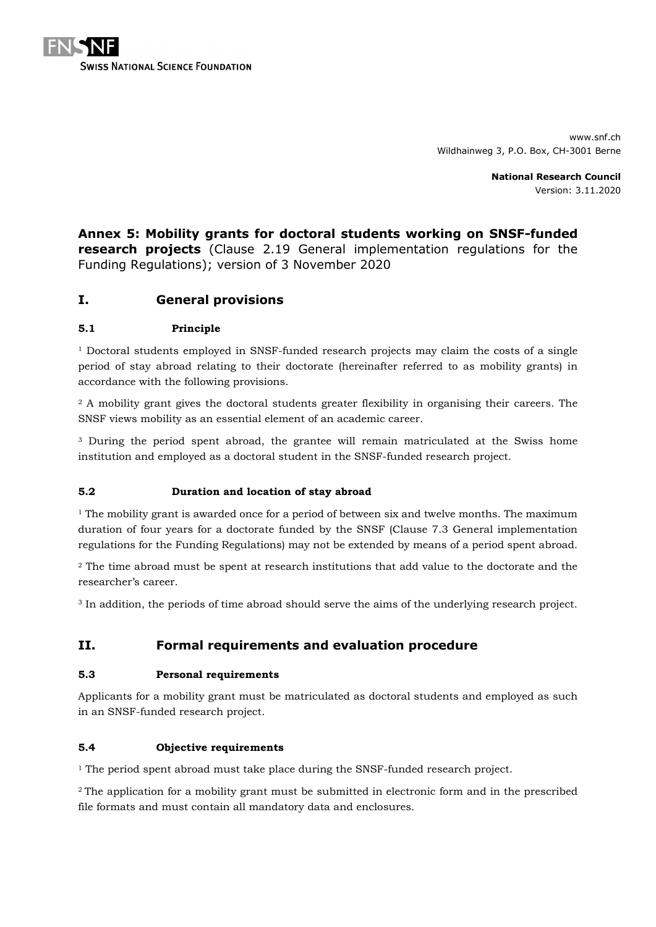

www.snf.ch Wildhainweg 3, P.O. Box, CH-3001 Berne

> **National Research Council** Version: 3.11.2020

# **Annex 5: Mobility grants for doctoral students working on SNSF-funded research projects** (Clause 2.19 General implementation regulations for the Funding Regulations); version of 3 November 2020

# **I. General provisions**

## **5.1 Principle**

 $1$  Doctoral students employed in SNSF-funded research projects may claim the costs of a single period of stay abroad relating to their doctorate (hereinafter referred to as mobility grants) in accordance with the following provisions.

<sup>2</sup> A mobility grant gives the doctoral students greater flexibility in organising their careers. The SNSF views mobility as an essential element of an academic career.

<sup>3</sup> During the period spent abroad, the grantee will remain matriculated at the Swiss home institution and employed as a doctoral student in the SNSF-funded research project.

## **5.2 Duration and location of stay abroad**

<sup>1</sup> The mobility grant is awarded once for a period of between six and twelve months. The maximum duration of four years for a doctorate funded by the SNSF (Clause 7.3 General implementation regulations for the Funding Regulations) may not be extended by means of a period spent abroad.

<sup>2</sup> The time abroad must be spent at research institutions that add value to the doctorate and the researcher's career.

<sup>3</sup> In addition, the periods of time abroad should serve the aims of the underlying research project.

# **II. Formal requirements and evaluation procedure**

## **5.3 Personal requirements**

Applicants for a mobility grant must be matriculated as doctoral students and employed as such in an SNSF-funded research project.

## **5.4 Objective requirements**

<sup>1</sup> The period spent abroad must take place during the SNSF-funded research project.

<sup>2</sup> The application for a mobility grant must be submitted in electronic form and in the prescribed file formats and must contain all mandatory data and enclosures.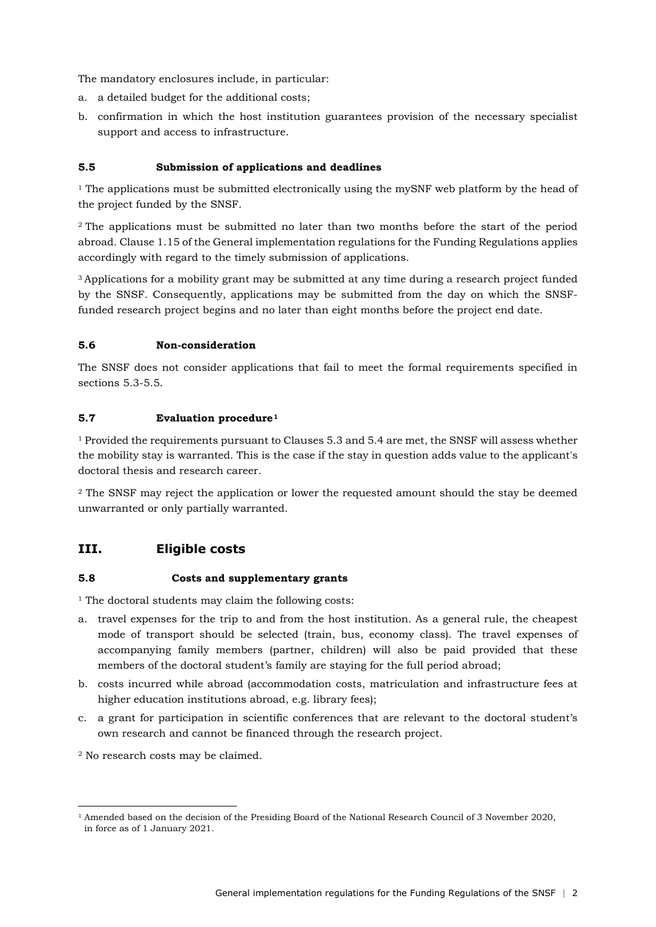The mandatory enclosures include, in particular:

- a. a detailed budget for the additional costs;
- b. confirmation in which the host institution guarantees provision of the necessary specialist support and access to infrastructure.

## **5.5 Submission of applications and deadlines**

 $1$  The applications must be submitted electronically using the mySNF web platform by the head of the project funded by the SNSF.

<sup>2</sup> The applications must be submitted no later than two months before the start of the period abroad. Clause 1.15 of the General implementation regulations for the Funding Regulations applies accordingly with regard to the timely submission of applications.

<sup>3</sup> Applications for a mobility grant may be submitted at any time during a research project funded by the SNSF. Consequently, applications may be submitted from the day on which the SNSFfunded research project begins and no later than eight months before the project end date.

#### **5.6 Non-consideration**

The SNSF does not consider applications that fail to meet the formal requirements specified in sections 5.3-5.5.

#### **5.7 Evaluation procedure[1](#page-1-0)**

<sup>1</sup> Provided the requirements pursuant to Clauses 5.3 and 5.4 are met, the SNSF will assess whether the mobility stay is warranted. This is the case if the stay in question adds value to the applicant's doctoral thesis and research career.

<sup>2</sup> The SNSF may reject the application or lower the requested amount should the stay be deemed unwarranted or only partially warranted.

# **III. Eligible costs**

#### **5.8 Costs and supplementary grants**

<sup>1</sup> The doctoral students may claim the following costs:

- a. travel expenses for the trip to and from the host institution. As a general rule, the cheapest mode of transport should be selected (train, bus, economy class). The travel expenses of accompanying family members (partner, children) will also be paid provided that these members of the doctoral student's family are staying for the full period abroad;
- b. costs incurred while abroad (accommodation costs, matriculation and infrastructure fees at higher education institutions abroad, e.g. library fees);
- c. a grant for participation in scientific conferences that are relevant to the doctoral student's own research and cannot be financed through the research project.

<sup>2</sup> No research costs may be claimed.

-

<span id="page-1-0"></span><sup>1</sup> Amended based on the decision of the Presiding Board of the National Research Council of 3 November 2020, in force as of 1 January 2021.